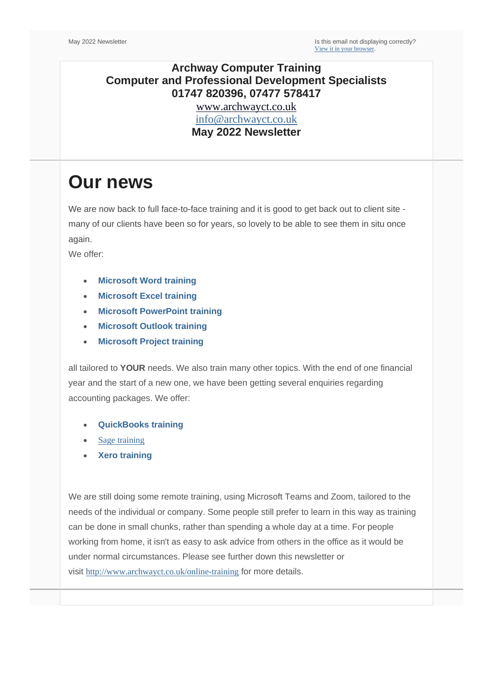### **Archway Computer Training Computer and Professional Development Specialists 01747 820396, 07477 578417**

[www.archwayct.co.uk](http://www.archwayct.co.uk/) [info@archwayct.co.uk](mailto:%20info@archwayct.co.uk) **May 2022 Newsletter**

# **Our news**

We are now back to full face-to-face training and it is good to get back out to client site many of our clients have been so for years, so lovely to be able to see them in situ once again.

We offer:

- **[Microsoft Word training](http://www.archwayct.co.uk/microsoft-office-training/microsoft-word-training)**
- **[Microsoft Excel training](http://www.archwayct.co.uk/microsoft-office-training/microsoft-excel-training)**
- **[Microsoft PowerPoint training](http://www.archwayct.co.uk/microsoft-office-training/microsoft-powerpoint-training)**
- **[Microsoft Outlook training](http://www.archwayct.co.uk/microsoft-office-training/microsoft-outlook-training)**
- **[Microsoft Project training](http://www.archwayct.co.uk/it-training/microsoft-project-training)**

all tailored to **YOUR** needs. We also train many other topics. With the end of one financial year and the start of a new one, we have been getting several enquiries regarding accounting packages. We offer:

- **[QuickBooks training](http://www.archwayct.co.uk/it-training/quickbooks-training)**
- [Sage training](https://www.archwayct.co.uk/it-training/sage-training/)
- **[Xero training](http://www.archwayct.co.uk/it-training/xero-training)**

We are still doing some remote training, using Microsoft Teams and Zoom, tailored to the needs of the individual or company. Some people still prefer to learn in this way as training can be done in small chunks, rather than spending a whole day at a time. For people working from home, it isn't as easy to ask advice from others in the office as it would be under normal circumstances. Please see further down this newsletter or visit <http://www.archwayct.co.uk/online-training> for more details.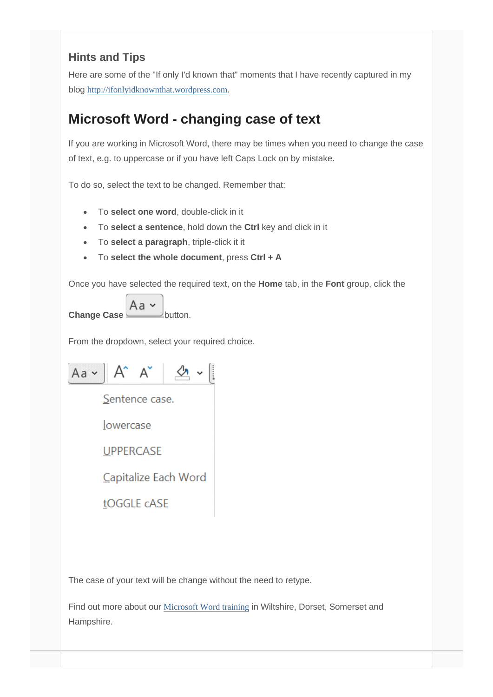### **Hints and Tips**

Here are some of the "If only I'd known that" moments that I have recently captured in my blog [http://ifonlyidknownthat.wordpress.com](http://ifonlyidknownthat.wordpress.com/).

# **Microsoft Word - changing case of text**

If you are working in Microsoft Word, there may be times when you need to change the case of text, e.g. to uppercase or if you have left Caps Lock on by mistake.

To do so, select the text to be changed. Remember that:

- To **select one word**, double-click in it
- To **select a sentence**, hold down the **Ctrl** key and click in it
- To **select a paragraph**, triple-click it it
- To **select the whole document**, press **Ctrl + A**

Once you have selected the required text, on the **Home** tab, in the **Font** group, click the

**Change Case**  $\overline{Aa \cdot b}$  button.

From the dropdown, select your required choice.

 $Aa - A^* A^* \leq \cdot$ Sentence case. lowercase **UPPERCASE** Capitalize Each Word tOGGLE cASE

The case of your text will be change without the need to retype.

Find out more about our [Microsoft Word training](http://www.archwayct.co.uk/microsoft-office-training/microsoft-word-training) in Wiltshire, Dorset, Somerset and Hampshire.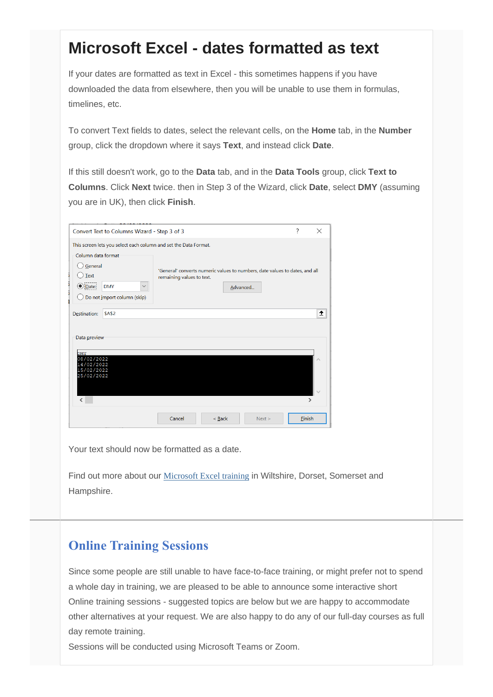# **Microsoft Excel - dates formatted as text**

If your dates are formatted as text in Excel - this sometimes happens if you have downloaded the data from elsewhere, then you will be unable to use them in formulas, timelines, etc.

To convert Text fields to dates, select the relevant cells, on the **Home** tab, in the **Number** group, click the dropdown where it says **Text**, and instead click **Date**.

If this still doesn't work, go to the **Data** tab, and in the **Data Tools** group, click **Text to Columns**. Click **Next** twice. then in Step 3 of the Wizard, click **Date**, select **DMY** (assuming you are in UK), then click **Finish**.

| 7<br>$\times$<br>Convert Text to Columns Wizard - Step 3 of 3                                                                                                                              |               |                                                                                                          |          |          |        |               |
|--------------------------------------------------------------------------------------------------------------------------------------------------------------------------------------------|---------------|----------------------------------------------------------------------------------------------------------|----------|----------|--------|---------------|
| This screen lets you select each column and set the Data Format.<br>Column data format<br>General<br>Text<br>$\bigcirc$ Date:<br><b>DMY</b><br>$\checkmark$<br>Do not import column (skip) |               | 'General' converts numeric values to numbers, date values to dates, and all<br>remaining values to text. |          | Advanced |        |               |
| Destination:<br>Data preview                                                                                                                                                               | <b>\$A\$2</b> |                                                                                                          |          |          |        | 土             |
| <b>DMY</b><br>08/02/2022<br>14/02/2022<br>15/02/2022<br>25/02/2022                                                                                                                         |               |                                                                                                          |          |          |        |               |
| $\overline{\phantom{a}}$                                                                                                                                                                   |               | Cancel                                                                                                   | $<$ Back | Next >   | Finish | $\rightarrow$ |

Your text should now be formatted as a date.

Find out more about our [Microsoft Excel training](http://www.archwayct.co.uk/microsoft-office-training/microsoft-excel-training) in Wiltshire, Dorset, Somerset and Hampshire.

## **Online Training Sessions**

Since some people are still unable to have face-to-face training, or might prefer not to spend a whole day in training, we are pleased to be able to announce some interactive short Online training sessions - suggested topics are below but we are happy to accommodate other alternatives at your request. We are also happy to do any of our full-day courses as full day remote training.

Sessions will be conducted using Microsoft Teams or Zoom.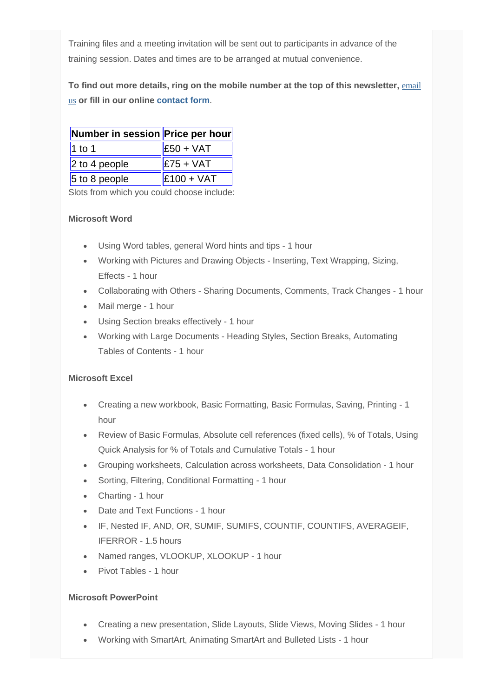Training files and a meeting invitation will be sent out to participants in advance of the training session. Dates and times are to be arranged at mutual convenience.

**To find out more details, ring on the mobile number at the top of this newsletter,** [email](mailto:info@archwayct.co.uk?subject=Online%20training)  [us](mailto:info@archwayct.co.uk?subject=Online%20training) **or fill in our online [contact form](http://www.archwayct.co.uk/contact)**.

| Number in session Price per hour |                                           |  |  |
|----------------------------------|-------------------------------------------|--|--|
| $1$ to 1                         | $\parallel$ £50 + VAT                     |  |  |
| $ 2$ to 4 people                 | $\left  \text{£}75 + \text{VAT} \right $  |  |  |
| $5$ to 8 people                  | $\left  \text{£}100 + \text{VAT} \right $ |  |  |

Slots from which you could choose include:

#### **Microsoft Word**

- Using Word tables, general Word hints and tips 1 hour
- Working with Pictures and Drawing Objects Inserting, Text Wrapping, Sizing, Effects - 1 hour
- Collaborating with Others Sharing Documents, Comments, Track Changes 1 hour
- Mail merge 1 hour
- Using Section breaks effectively 1 hour
- Working with Large Documents Heading Styles, Section Breaks, Automating Tables of Contents - 1 hour

#### **Microsoft Excel**

- Creating a new workbook, Basic Formatting, Basic Formulas, Saving, Printing 1 hour
- Review of Basic Formulas, Absolute cell references (fixed cells), % of Totals, Using Quick Analysis for % of Totals and Cumulative Totals - 1 hour
- Grouping worksheets, Calculation across worksheets, Data Consolidation 1 hour
- Sorting, Filtering, Conditional Formatting 1 hour
- Charting 1 hour
- Date and Text Functions 1 hour
- IF, Nested IF, AND, OR, SUMIF, SUMIFS, COUNTIF, COUNTIFS, AVERAGEIF, IFERROR - 1.5 hours
- Named ranges, VLOOKUP, XLOOKUP 1 hour
- Pivot Tables 1 hour

#### **Microsoft PowerPoint**

- Creating a new presentation, Slide Layouts, Slide Views, Moving Slides 1 hour
- Working with SmartArt, Animating SmartArt and Bulleted Lists 1 hour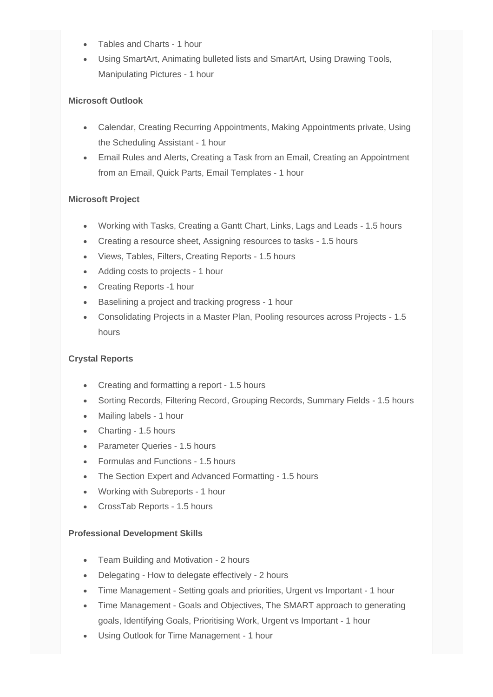- Tables and Charts 1 hour
- Using SmartArt, Animating bulleted lists and SmartArt, Using Drawing Tools, Manipulating Pictures - 1 hour

#### **Microsoft Outlook**

- Calendar, Creating Recurring Appointments, Making Appointments private, Using the Scheduling Assistant - 1 hour
- Email Rules and Alerts, Creating a Task from an Email, Creating an Appointment from an Email, Quick Parts, Email Templates - 1 hour

#### **Microsoft Project**

- Working with Tasks, Creating a Gantt Chart, Links, Lags and Leads 1.5 hours
- Creating a resource sheet, Assigning resources to tasks 1.5 hours
- Views, Tables, Filters, Creating Reports 1.5 hours
- Adding costs to projects 1 hour
- Creating Reports -1 hour
- Baselining a project and tracking progress 1 hour
- Consolidating Projects in a Master Plan, Pooling resources across Projects 1.5 hours

#### **Crystal Reports**

- Creating and formatting a report 1.5 hours
- Sorting Records, Filtering Record, Grouping Records, Summary Fields 1.5 hours
- Mailing labels 1 hour
- Charting 1.5 hours
- Parameter Queries 1.5 hours
- Formulas and Functions 1.5 hours
- The Section Expert and Advanced Formatting 1.5 hours
- Working with Subreports 1 hour
- CrossTab Reports 1.5 hours

#### **Professional Development Skills**

- Team Building and Motivation 2 hours
- Delegating How to delegate effectively 2 hours
- Time Management Setting goals and priorities, Urgent vs Important 1 hour
- Time Management Goals and Objectives, The SMART approach to generating goals, Identifying Goals, Prioritising Work, Urgent vs Important - 1 hour
- Using Outlook for Time Management 1 hour